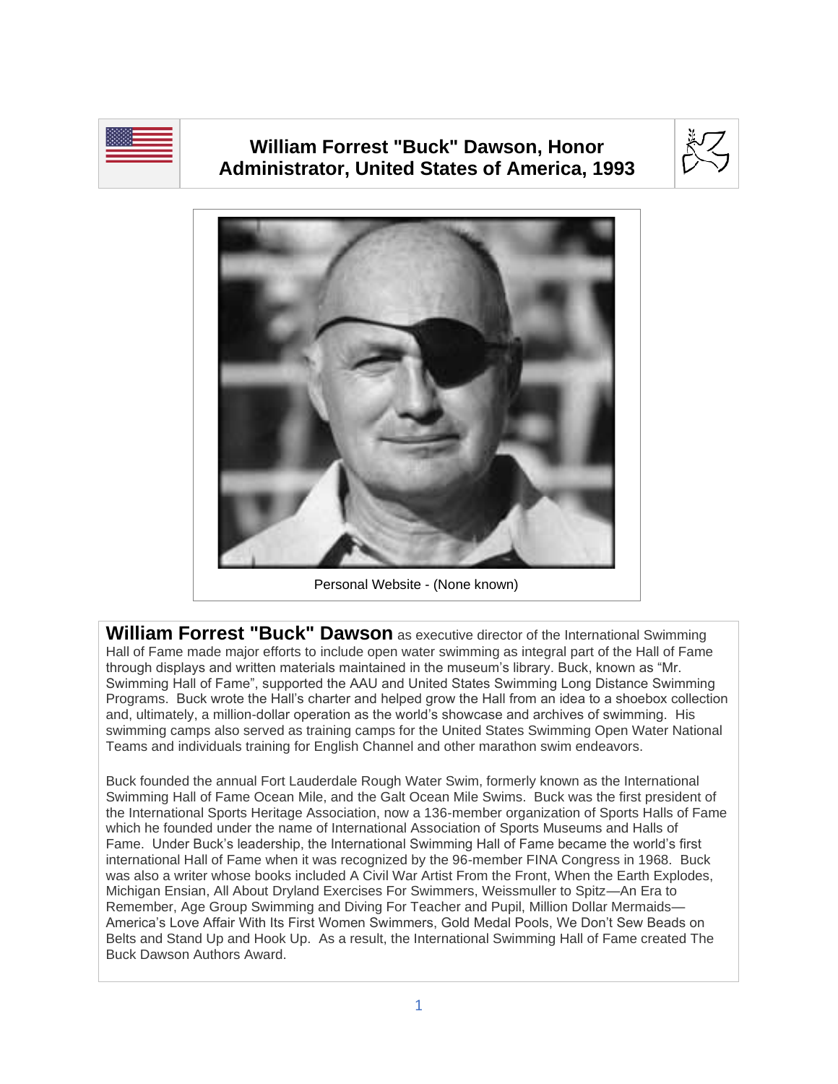

## **William Forrest "Buck" Dawson, Honor Administrator, United States of America, 1993**





Personal Website - (None known)

**William Forrest "Buck" Dawson** as executive director of the International Swimming Hall of Fame made major efforts to include open water swimming as integral part of the Hall of Fame through displays and written materials maintained in the museum's library. Buck, known as "Mr. Swimming Hall of Fame", supported the AAU and United States Swimming Long Distance Swimming Programs. Buck wrote the Hall's charter and helped grow the Hall from an idea to a shoebox collection and, ultimately, a million-dollar operation as the world's showcase and archives of swimming. His swimming camps also served as training camps for the United States Swimming Open Water National Teams and individuals training for English Channel and other marathon swim endeavors.

Buck founded the annual Fort Lauderdale Rough Water Swim, formerly known as the International Swimming Hall of Fame Ocean Mile, and the Galt Ocean Mile Swims. Buck was the first president of the International Sports Heritage Association, now a 136-member organization of Sports Halls of Fame which he founded under the name of International Association of Sports Museums and Halls of Fame. Under Buck's leadership, the International Swimming Hall of Fame became the world's first international Hall of Fame when it was recognized by the 96-member FINA Congress in 1968. Buck was also a writer whose books included A Civil War Artist From the Front, When the Earth Explodes, Michigan Ensian, All About Dryland Exercises For Swimmers, Weissmuller to Spitz—An Era to Remember, Age Group Swimming and Diving For Teacher and Pupil, Million Dollar Mermaids— America's Love Affair With Its First Women Swimmers, Gold Medal Pools, We Don't Sew Beads on Belts and Stand Up and Hook Up. As a result, the International Swimming Hall of Fame created The Buck Dawson Authors Award.